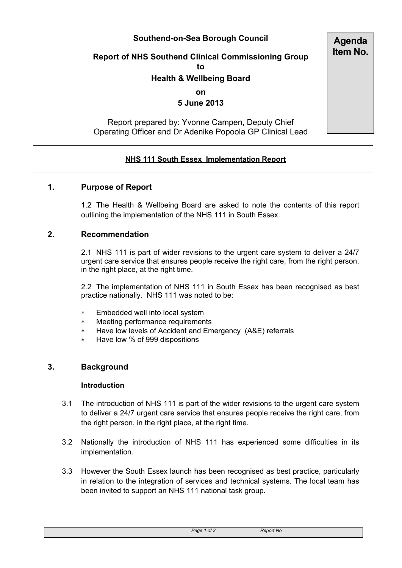# **Southend-on-Sea Borough Council**

# **Report of NHS Southend Clinical Commissioning Group**

**to**

# **Health & Wellbeing Board**

**on**

# **5 June 2013**

# Report prepared by: Yvonne Campen, Deputy Chief Operating Officer and Dr Adenike Popoola GP Clinical Lead

# **NHS 111 South Essex Implementation Report**

#### **1. Purpose of Report**

1.2 The Health & Wellbeing Board are asked to note the contents of this report outlining the implementation of the NHS 111 in South Essex.

# **2. Recommendation**

2.1 NHS 111 is part of wider revisions to the urgent care system to deliver a 24/7 urgent care service that ensures people receive the right care, from the right person, in the right place, at the right time.

2.2 The implementation of NHS 111 in South Essex has been recognised as best practice nationally. NHS 111 was noted to be:

- Embedded well into local system
- Meeting performance requirements
- Have low levels of Accident and Emergency (A&E) referrals
- Have low % of 999 dispositions

#### **3. Background**

#### **Introduction**

- 3.1 The introduction of NHS 111 is part of the wider revisions to the urgent care system to deliver a 24/7 urgent care service that ensures people receive the right care, from the right person, in the right place, at the right time.
- 3.2 Nationally the introduction of NHS 111 has experienced some difficulties in its implementation.
- 3.3 However the South Essex launch has been recognised as best practice, particularly in relation to the integration of services and technical systems. The local team has been invited to support an NHS 111 national task group.

*Page 1 of 3 Report No*

**Agenda Item No.**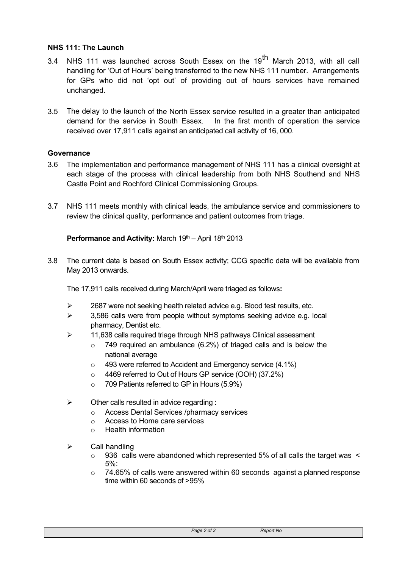#### **NHS 111: The Launch**

- 3.4 NHS 111 was launched across South Essex on the 19<sup>th</sup> March 2013, with all call handling for 'Out of Hours' being transferred to the new NHS 111 number. Arrangements for GPs who did not 'opt out' of providing out of hours services have remained unchanged.
- 3.5 The delay to the launch of the North Essex service resulted in a greater than anticipated demand for the service in South Essex. In the first month of operation the service received over 17,911 calls against an anticipated call activity of 16, 000.

#### **Governance**

- 3.6 The implementation and performance management of NHS 111 has a clinical oversight at each stage of the process with clinical leadership from both NHS Southend and NHS Castle Point and Rochford Clinical Commissioning Groups.
- 3.7 NHS 111 meets monthly with clinical leads, the ambulance service and commissioners to review the clinical quality, performance and patient outcomes from triage.

#### Performance and Activity: March 19<sup>th</sup> - April 18<sup>th</sup> 2013

3.8 The current data is based on South Essex activity; CCG specific data will be available from May 2013 onwards.

The 17,911 calls received during March/April were triaged as follows**:**

- $\geq$  2687 were not seeking health related advice e.g. Blood test results, etc.
- $\geq$  3,586 calls were from people without symptoms seeking advice e.g. local pharmacy, Dentist etc.
- > 11,638 calls required triage through NHS pathways Clinical assessment
	- $\circ$  749 required an ambulance (6.2%) of triaged calls and is below the national average
	- $\circ$  493 were referred to Accident and Emergency service (4.1%)
	- o 4469 referred to Out of Hours GP service (OOH) (37.2%)
	- o 709 Patients referred to GP in Hours (5.9%)
- $\triangleright$  Other calls resulted in advice regarding :
	- o Access Dental Services /pharmacy services
	- o Access to Home care services
	- o Health information
- $\triangleright$  Call handling
	- $\circ$  936 calls were abandoned which represented 5% of all calls the target was  $\le$ 5%:
	- $\circ$  74.65% of calls were answered within 60 seconds against a planned response time within 60 seconds of >95%